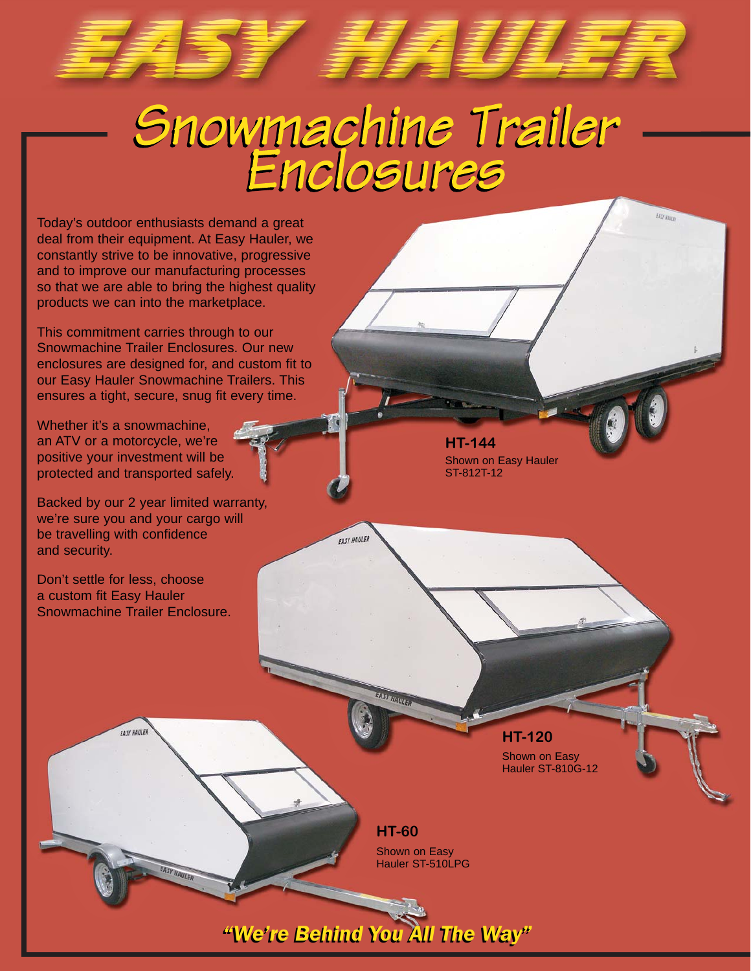*Snowmachine Trailer Snowmachine Trailer Enclosures Enclosures*

**EASY HAULER** 

ST FRANCISCH

Today's outdoor enthusiasts demand a great deal from their equipment. At Easy Hauler, we constantly strive to be innovative, progressive and to improve our manufacturing processes so that we are able to bring the highest quality products we can into the marketplace.

This commitment carries through to our Snowmachine Trailer Enclosures. Our new enclosures are designed for, and custom fit to our Easy Hauler Snowmachine Trailers. This ensures a tight, secure, snug fit every time.

Whether it's a snowmachine, an ATV or a motorcycle, we're positive your investment will be protected and transported safely.

Backed by our 2 year limited warranty, we're sure you and your cargo will be travelling with confidence and security.

Don't settle for less, choose a custom fit Easy Hauler Snowmachine Trailer Enclosure.

FASY HAUL

**HT-144** Shown on Easy Hauler ST-812T-12

EAST HANZER

**HT-120**

Shown on Easy Hauler ST-810G-12

**HT-60** Shown on Easy Hauler ST-510LPG

*"We're Behind You All The Way" "We're Behind You All The Way"*